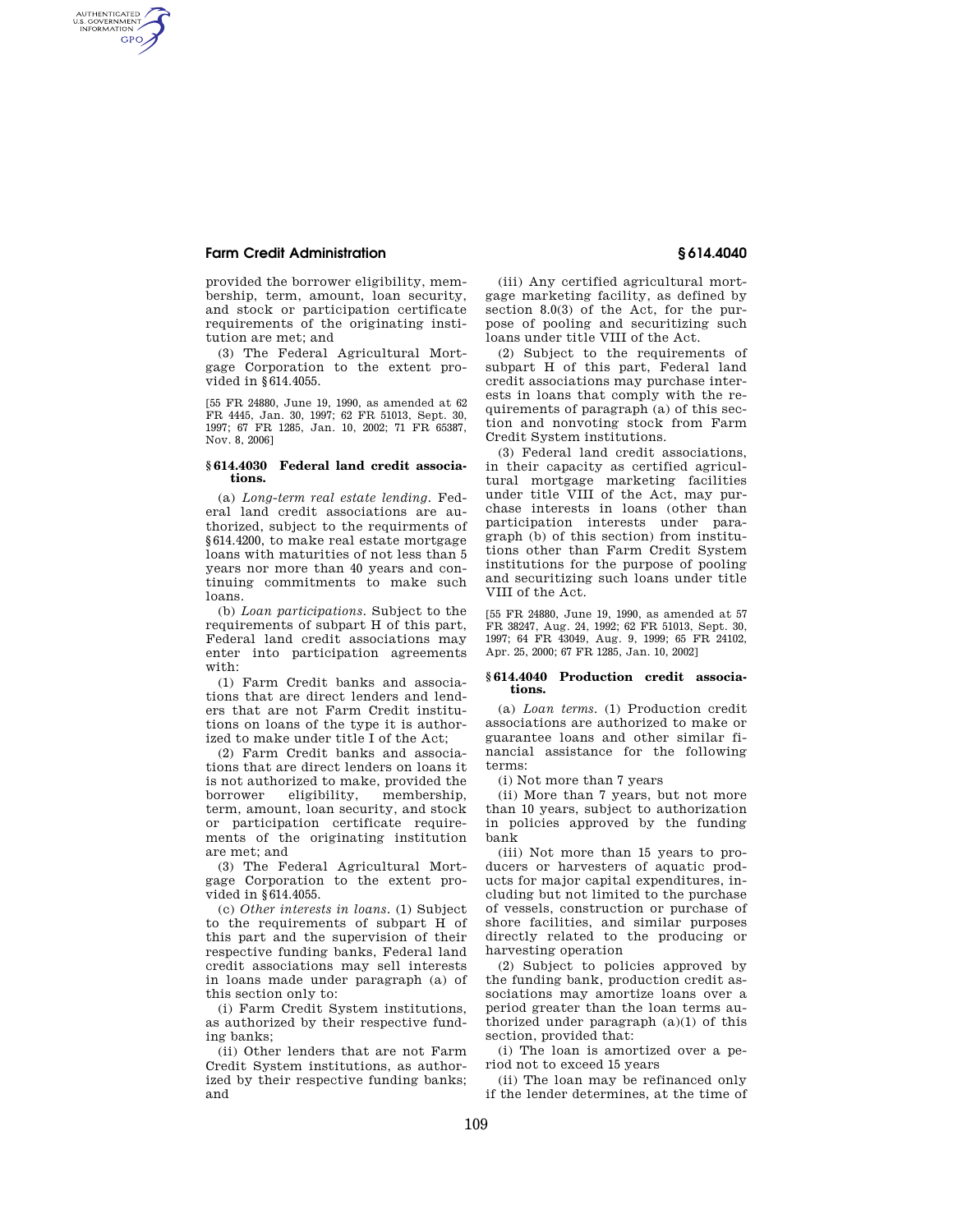## **Farm Credit Administration § 614.4040**

AUTHENTICATED<br>U.S. GOVERNMENT<br>INFORMATION **GPO** 

> provided the borrower eligibility, membership, term, amount, loan security, and stock or participation certificate requirements of the originating institution are met; and

> (3) The Federal Agricultural Mortgage Corporation to the extent provided in §614.4055.

> [55 FR 24880, June 19, 1990, as amended at 62 FR 4445, Jan. 30, 1997; 62 FR 51013, Sept. 30, 1997; 67 FR 1285, Jan. 10, 2002; 71 FR 65387, Nov. 8, 2006]

## **§ 614.4030 Federal land credit associations.**

(a) *Long-term real estate lending.* Federal land credit associations are authorized, subject to the requirments of §614.4200, to make real estate mortgage loans with maturities of not less than 5 years nor more than 40 years and continuing commitments to make such loans.

(b) *Loan participations.* Subject to the requirements of subpart H of this part, Federal land credit associations may enter into participation agreements with:

(1) Farm Credit banks and associations that are direct lenders and lenders that are not Farm Credit institutions on loans of the type it is authorized to make under title I of the Act;

(2) Farm Credit banks and associations that are direct lenders on loans it is not authorized to make, provided the borrower eligibility, membership, term, amount, loan security, and stock or participation certificate requirements of the originating institution are met; and

(3) The Federal Agricultural Mortgage Corporation to the extent provided in §614.4055.

(c) *Other interests in loans.* (1) Subject to the requirements of subpart H of this part and the supervision of their respective funding banks, Federal land credit associations may sell interests in loans made under paragraph (a) of this section only to:

(i) Farm Credit System institutions, as authorized by their respective funding banks;

(ii) Other lenders that are not Farm Credit System institutions, as authorized by their respective funding banks; and

(iii) Any certified agricultural mortgage marketing facility, as defined by section 8.0(3) of the Act, for the purpose of pooling and securitizing such loans under title VIII of the Act.

(2) Subject to the requirements of subpart H of this part, Federal land credit associations may purchase interests in loans that comply with the requirements of paragraph (a) of this section and nonvoting stock from Farm Credit System institutions.

(3) Federal land credit associations, in their capacity as certified agricultural mortgage marketing facilities under title VIII of the Act, may purchase interests in loans (other than participation interests under paragraph (b) of this section) from institutions other than Farm Credit System institutions for the purpose of pooling and securitizing such loans under title VIII of the Act.

[55 FR 24880, June 19, 1990, as amended at 57 FR 38247, Aug. 24, 1992; 62 FR 51013, Sept. 30, 1997; 64 FR 43049, Aug. 9, 1999; 65 FR 24102, Apr. 25, 2000; 67 FR 1285, Jan. 10, 2002]

## **§ 614.4040 Production credit associations.**

(a) *Loan terms.* (1) Production credit associations are authorized to make or guarantee loans and other similar financial assistance for the following terms:

(i) Not more than 7 years

(ii) More than 7 years, but not more than 10 years, subject to authorization in policies approved by the funding bank

(iii) Not more than 15 years to producers or harvesters of aquatic products for major capital expenditures, including but not limited to the purchase of vessels, construction or purchase of shore facilities, and similar purposes directly related to the producing or harvesting operation

(2) Subject to policies approved by the funding bank, production credit associations may amortize loans over a period greater than the loan terms authorized under paragraph (a)(1) of this section, provided that:

(i) The loan is amortized over a period not to exceed 15 years

(ii) The loan may be refinanced only if the lender determines, at the time of